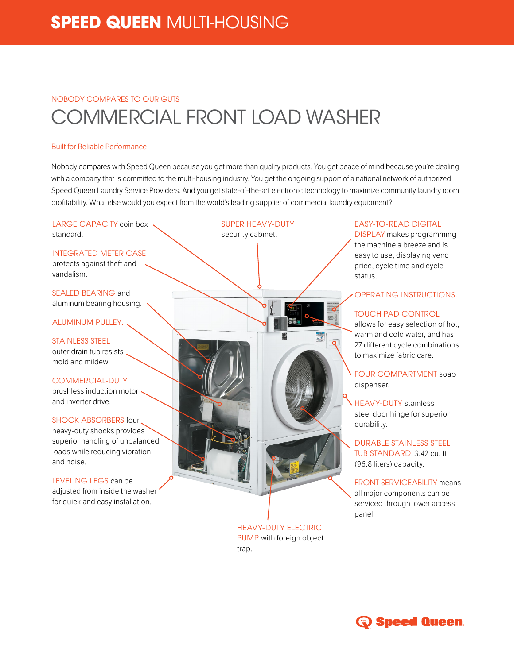# NOBODY COMPARES TO OUR GUTS COMMERCIAL FRONT LOAD WASHER

### Built for Reliable Performance

Nobody compares with Speed Queen because you get more than quality products. You get peace of mind because you're dealing with a company that is committed to the multi-housing industry. You get the ongoing support of a national network of authorized Speed Queen Laundry Service Providers. And you get state-of-the-art electronic technology to maximize community laundry room profitability. What else would you expect from the world's leading supplier of commercial laundry equipment?

LARGE CAPACITY coin box standard.

## INTEGRATED METER CASE

protects against theft and vandalism.

SEALED BEARING and aluminum bearing housing.

## ALUMINUM PULLEY.

STAINLESS STEEL outer drain tub resists mold and mildew.

COMMERCIAL-DUTY brushless induction motor  $\cdot$ and inverter drive.

SHOCK ABSORBERS four heavy-duty shocks provides superior handling of unbalanced loads while reducing vibration and noise.

LEVELING LEGS can be adjusted from inside the washer for quick and easy installation.

SUPER HEAVY-DUTY security cabinet.

> HEAVY-DUTY ELECTRIC PUMP with foreign object trap.

### EASY-TO-READ DIGITAL

DISPLAY makes programming the machine a breeze and is easy to use, displaying vend price, cycle time and cycle status.

OPERATING INSTRUCTIONS.

# TOUCH PAD CONTROL

allows for easy selection of hot, warm and cold water, and has 27 different cycle combinations to maximize fabric care.

FOUR COMPARTMENT soap dispenser.

HEAVY-DUTY stainless steel door hinge for superior durability.

DURABLE STAINLESS STEEL TUB STANDARD 3.42 cu. ft. (96.8 liters) capacity.

FRONT SERVICEABILITY means all major components can be serviced through lower access panel.